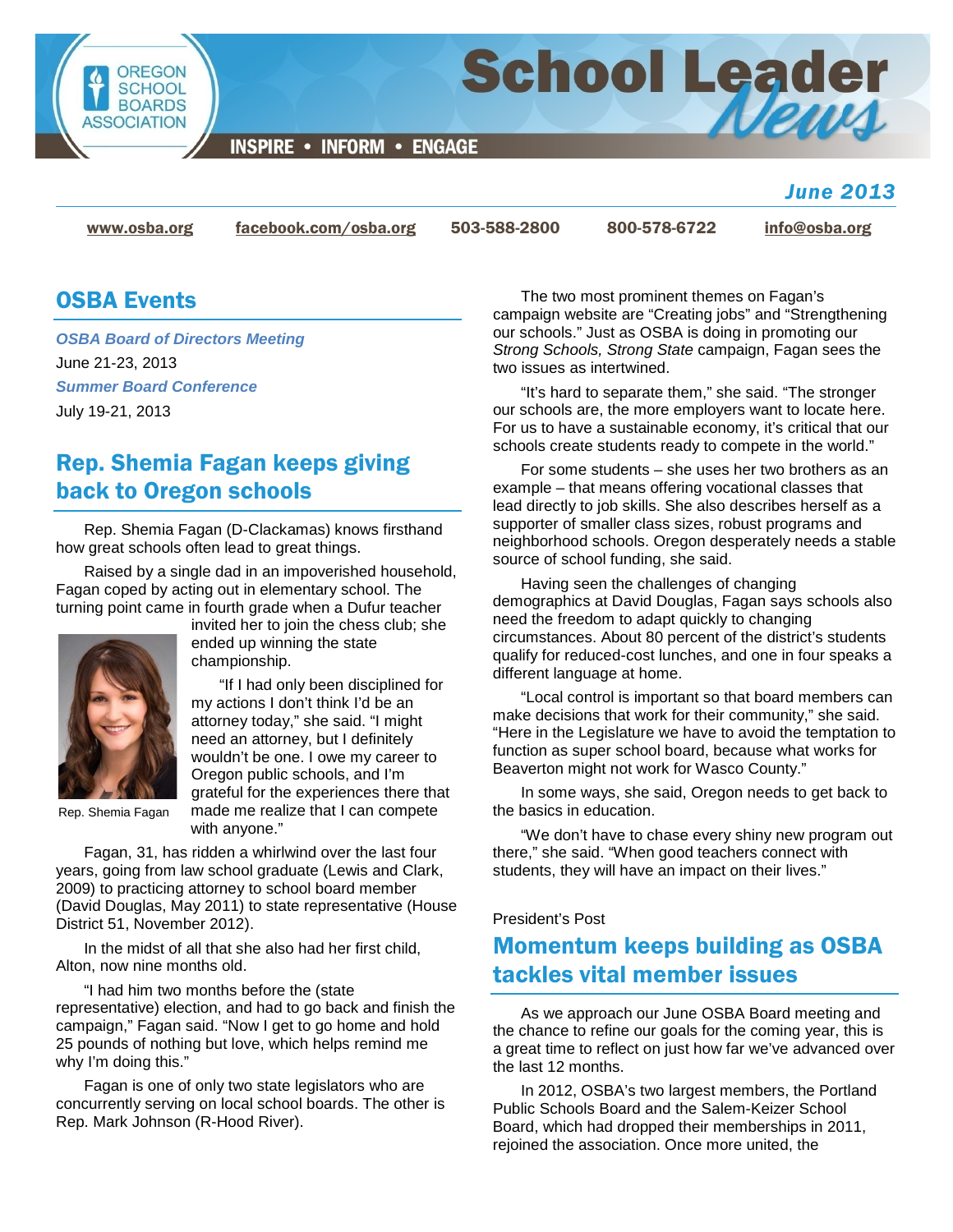

#### *June 2013*

[www.osba.org](http://www.osba.org/) [facebook.com/osba.org](http://www.facebook.com/osba.org) 503-588-2800 800-578-6722 [info@osba.org](mailto:info@osba.org)

## OSBA Events

*OSBA Board of Directors Meeting* June 21-23, 2013 *Summer Board Conference* July 19-21, 2013

# Rep. Shemia Fagan keeps giving back to Oregon schools

Rep. Shemia Fagan (D-Clackamas) knows firsthand how great schools often lead to great things.

Raised by a single dad in an impoverished household, Fagan coped by acting out in elementary school. The turning point came in fourth grade when a Dufur teacher



Rep. Shemia Fagan

invited her to join the chess club; she ended up winning the state championship.

"If I had only been disciplined for my actions I don't think I'd be an attorney today," she said. "I might need an attorney, but I definitely wouldn't be one. I owe my career to Oregon public schools, and I'm grateful for the experiences there that made me realize that I can compete with anyone."

Fagan, 31, has ridden a whirlwind over the last four years, going from law school graduate (Lewis and Clark, 2009) to practicing attorney to school board member (David Douglas, May 2011) to state representative (House District 51, November 2012).

In the midst of all that she also had her first child, Alton, now nine months old.

"I had him two months before the (state representative) election, and had to go back and finish the campaign," Fagan said. "Now I get to go home and hold 25 pounds of nothing but love, which helps remind me why I'm doing this."

Fagan is one of only two state legislators who are concurrently serving on local school boards. The other is Rep. Mark Johnson (R-Hood River).

The two most prominent themes on Fagan's campaign website are "Creating jobs" and "Strengthening our schools." Just as OSBA is doing in promoting our *Strong Schools, Strong State* campaign, Fagan sees the two issues as intertwined.

"It's hard to separate them," she said. "The stronger our schools are, the more employers want to locate here. For us to have a sustainable economy, it's critical that our schools create students ready to compete in the world."

For some students – she uses her two brothers as an example – that means offering vocational classes that lead directly to job skills. She also describes herself as a supporter of smaller class sizes, robust programs and neighborhood schools. Oregon desperately needs a stable source of school funding, she said.

Having seen the challenges of changing demographics at David Douglas, Fagan says schools also need the freedom to adapt quickly to changing circumstances. About 80 percent of the district's students qualify for reduced-cost lunches, and one in four speaks a different language at home.

"Local control is important so that board members can make decisions that work for their community," she said. "Here in the Legislature we have to avoid the temptation to function as super school board, because what works for Beaverton might not work for Wasco County."

In some ways, she said, Oregon needs to get back to the basics in education.

"We don't have to chase every shiny new program out there," she said. "When good teachers connect with students, they will have an impact on their lives."

#### President's Post

# Momentum keeps building as OSBA tackles vital member issues

As we approach our June OSBA Board meeting and the chance to refine our goals for the coming year, this is a great time to reflect on just how far we've advanced over the last 12 months.

In 2012, OSBA's two largest members, the Portland Public Schools Board and the Salem-Keizer School Board, which had dropped their memberships in 2011, rejoined the association. Once more united, the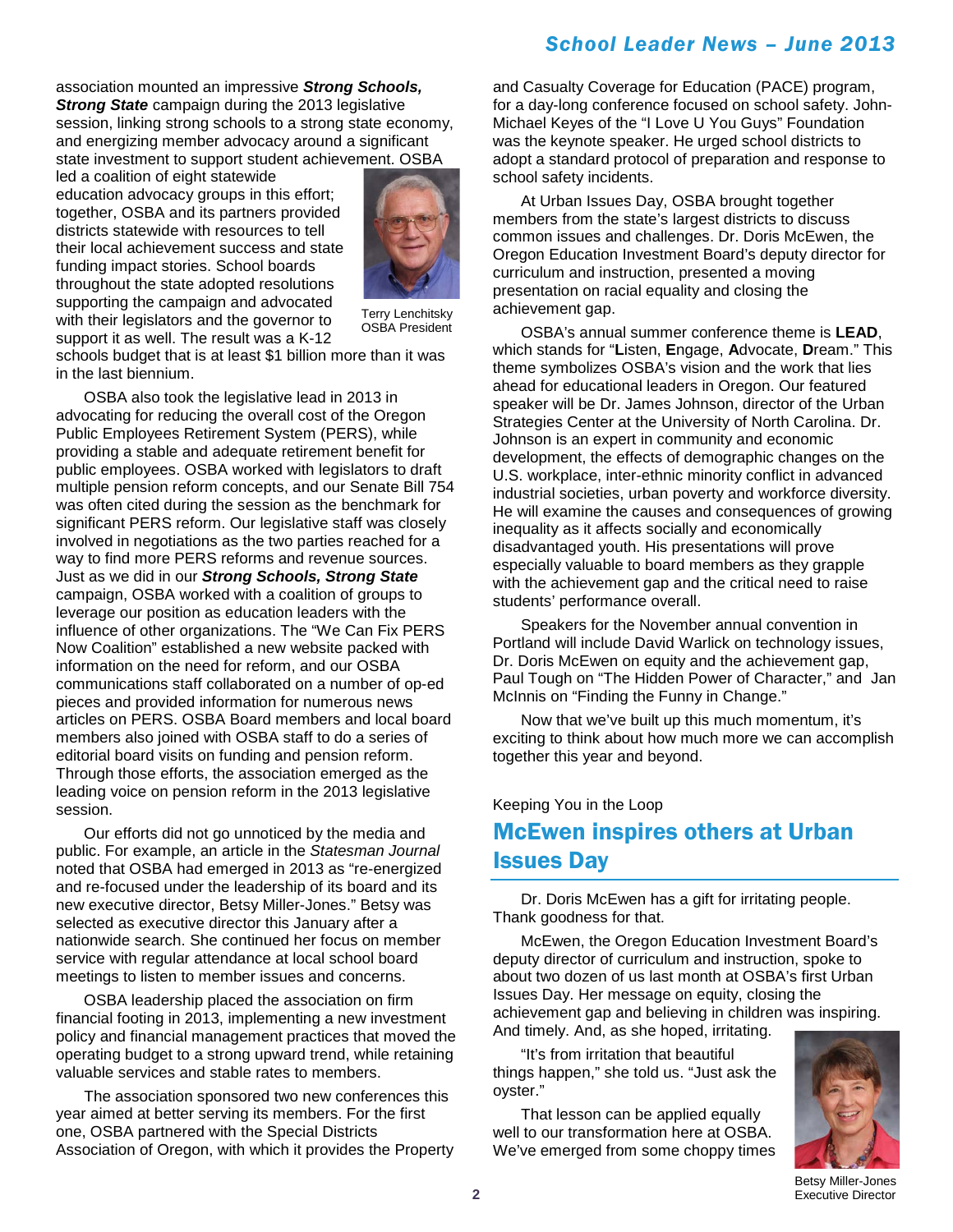### *School Leader News – June 2013*

association mounted an impressive *Strong Schools, Strong State* campaign during the 2013 legislative session, linking strong schools to a strong state economy, and energizing member advocacy around a significant state investment to support student achievement. OSBA

led a coalition of eight statewide education advocacy groups in this effort; together, OSBA and its partners provided districts statewide with resources to tell their local achievement success and state funding impact stories. School boards throughout the state adopted resolutions supporting the campaign and advocated with their legislators and the governor to support it as well. The result was a K-12



Terry Lenchitsky OSBA President

schools budget that is at least \$1 billion more than it was in the last biennium.

OSBA also took the legislative lead in 2013 in advocating for reducing the overall cost of the Oregon Public Employees Retirement System (PERS), while providing a stable and adequate retirement benefit for public employees. OSBA worked with legislators to draft multiple pension reform concepts, and our Senate Bill 754 was often cited during the session as the benchmark for significant PERS reform. Our legislative staff was closely involved in negotiations as the two parties reached for a way to find more PERS reforms and revenue sources. Just as we did in our *Strong Schools, Strong State* campaign, OSBA worked with a coalition of groups to leverage our position as education leaders with the influence of other organizations. The "We Can Fix PERS Now Coalition" established a new website packed with information on the need for reform, and our OSBA communications staff collaborated on a number of op-ed pieces and provided information for numerous news articles on PERS. OSBA Board members and local board members also joined with OSBA staff to do a series of editorial board visits on funding and pension reform. Through those efforts, the association emerged as the leading voice on pension reform in the 2013 legislative session.

Our efforts did not go unnoticed by the media and public. For example, an article in the *Statesman Journal* noted that OSBA had emerged in 2013 as "re-energized and re-focused under the leadership of its board and its new executive director, Betsy Miller-Jones." Betsy was selected as executive director this January after a nationwide search. She continued her focus on member service with regular attendance at local school board meetings to listen to member issues and concerns.

OSBA leadership placed the association on firm financial footing in 2013, implementing a new investment policy and financial management practices that moved the operating budget to a strong upward trend, while retaining valuable services and stable rates to members.

The association sponsored two new conferences this year aimed at better serving its members. For the first one, OSBA partnered with the Special Districts Association of Oregon, with which it provides the Property and Casualty Coverage for Education (PACE) program, for a day-long conference focused on school safety. John-Michael Keyes of the "I Love U You Guys" Foundation was the keynote speaker. He urged school districts to adopt a standard protocol of preparation and response to school safety incidents.

At Urban Issues Day, OSBA brought together members from the state's largest districts to discuss common issues and challenges. Dr. Doris McEwen, the Oregon Education Investment Board's deputy director for curriculum and instruction, presented a moving presentation on racial equality and closing the achievement gap.

OSBA's annual summer conference theme is **LEAD**, which stands for "**L**isten, **E**ngage, **A**dvocate, **D**ream." This theme symbolizes OSBA's vision and the work that lies ahead for educational leaders in Oregon. Our featured speaker will be Dr. James Johnson, director of the Urban Strategies Center at the University of North Carolina. Dr. Johnson is an expert in community and economic development, the effects of demographic changes on the U.S. workplace, inter-ethnic minority conflict in advanced industrial societies, urban poverty and workforce diversity. He will examine the causes and consequences of growing inequality as it affects socially and economically disadvantaged youth. His presentations will prove especially valuable to board members as they grapple with the achievement gap and the critical need to raise students' performance overall.

Speakers for the November annual convention in Portland will include David Warlick on technology issues, Dr. Doris McEwen on equity and the achievement gap. Paul Tough on "The Hidden Power of Character," and Jan McInnis on "Finding the Funny in Change."

Now that we've built up this much momentum, it's exciting to think about how much more we can accomplish together this year and beyond.

#### Keeping You in the Loop

# McEwen inspires others at Urban Issues Day

Dr. Doris McEwen has a gift for irritating people. Thank goodness for that.

McEwen, the Oregon Education Investment Board's deputy director of curriculum and instruction, spoke to about two dozen of us last month at OSBA's first Urban Issues Day. Her message on equity, closing the achievement gap and believing in children was inspiring. And timely. And, as she hoped, irritating.

"It's from irritation that beautiful things happen," she told us. "Just ask the oyster."

That lesson can be applied equally well to our transformation here at OSBA. We've emerged from some choppy times



Betsy Miller-Jones Executive Director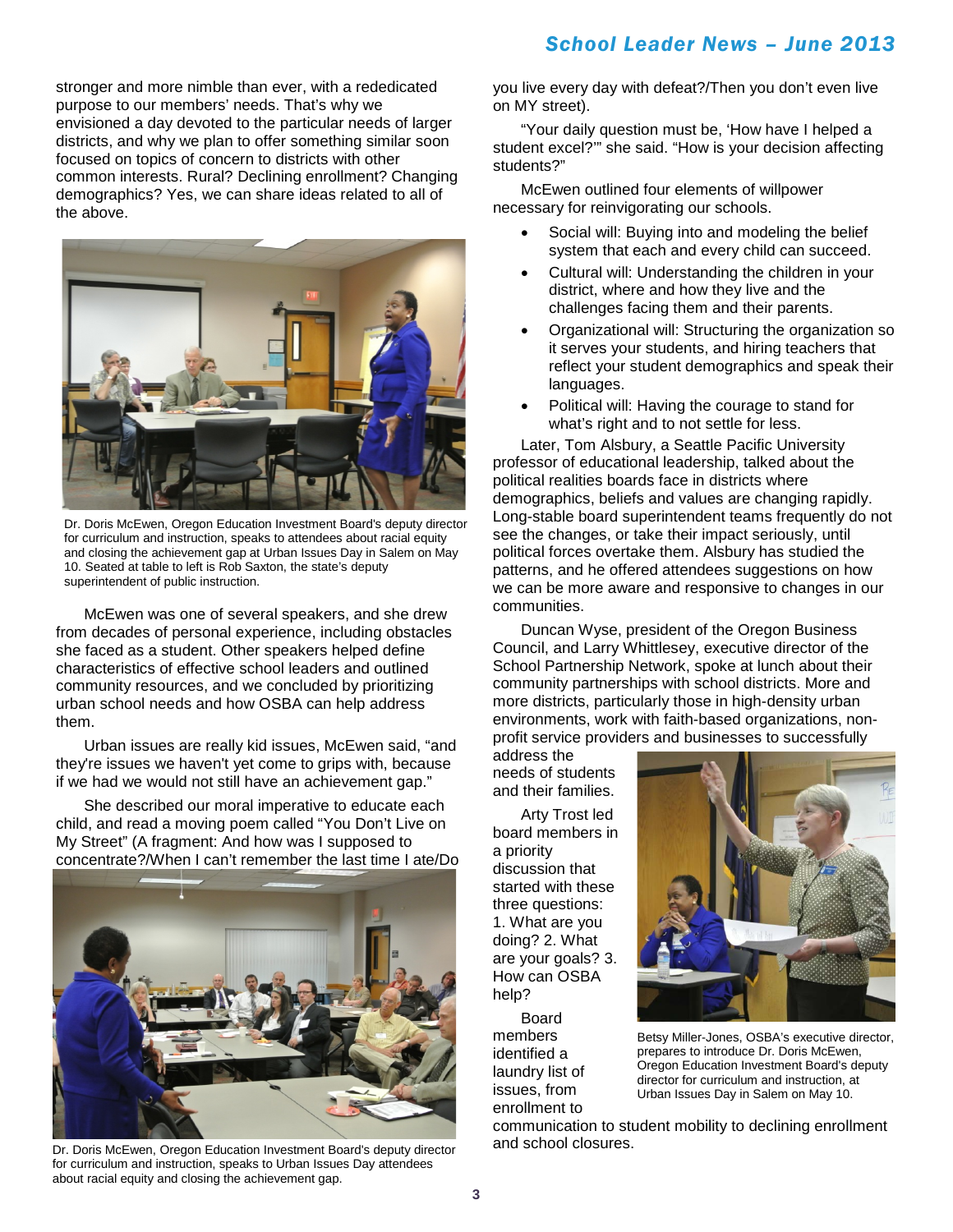stronger and more nimble than ever, with a rededicated purpose to our members' needs. That's why we envisioned a day devoted to the particular needs of larger districts, and why we plan to offer something similar soon focused on topics of concern to districts with other common interests. Rural? Declining enrollment? Changing demographics? Yes, we can share ideas related to all of the above.



Dr. Doris McEwen, Oregon Education Investment Board's deputy director for curriculum and instruction, speaks to attendees about racial equity and closing the achievement gap at Urban Issues Day in Salem on May 10. Seated at table to left is Rob Saxton, the state's deputy superintendent of public instruction.

McEwen was one of several speakers, and she drew from decades of personal experience, including obstacles she faced as a student. Other speakers helped define characteristics of effective school leaders and outlined community resources, and we concluded by prioritizing urban school needs and how OSBA can help address them.

Urban issues are really kid issues, McEwen said, "and they're issues we haven't yet come to grips with, because if we had we would not still have an achievement gap."

She described our moral imperative to educate each child, and read a moving poem called "You Don't Live on My Street" (A fragment: And how was I supposed to concentrate?/When I can't remember the last time I ate/Do



Dr. Doris McEwen, Oregon Education Investment Board's deputy director for curriculum and instruction, speaks to Urban Issues Day attendees about racial equity and closing the achievement gap.

you live every day with defeat?/Then you don't even live on MY street).

"Your daily question must be, 'How have I helped a student excel?'" she said. "How is your decision affecting students?"

McEwen outlined four elements of willpower necessary for reinvigorating our schools.

- Social will: Buying into and modeling the belief system that each and every child can succeed.
- Cultural will: Understanding the children in your district, where and how they live and the challenges facing them and their parents.
- Organizational will: Structuring the organization so it serves your students, and hiring teachers that reflect your student demographics and speak their languages.
- Political will: Having the courage to stand for what's right and to not settle for less.

Later, Tom Alsbury, a Seattle Pacific University professor of educational leadership, talked about the political realities boards face in districts where demographics, beliefs and values are changing rapidly. Long-stable board superintendent teams frequently do not see the changes, or take their impact seriously, until political forces overtake them. Alsbury has studied the patterns, and he offered attendees suggestions on how we can be more aware and responsive to changes in our communities.

Duncan Wyse, president of the Oregon Business Council, and Larry Whittlesey, executive director of the School Partnership Network, spoke at lunch about their community partnerships with school districts. More and more districts, particularly those in high-density urban environments, work with faith-based organizations, nonprofit service providers and businesses to successfully

address the needs of students and their families.

Arty Trost led board members in a priority discussion that started with these three questions: 1. What are you doing? 2. What are your goals? 3. How can OSBA help?

Board members identified a laundry list of issues, from enrollment to



Betsy Miller-Jones, OSBA's executive director, prepares to introduce Dr. Doris McEwen, Oregon Education Investment Board's deputy director for curriculum and instruction, at Urban Issues Day in Salem on May 10.

communication to student mobility to declining enrollment and school closures.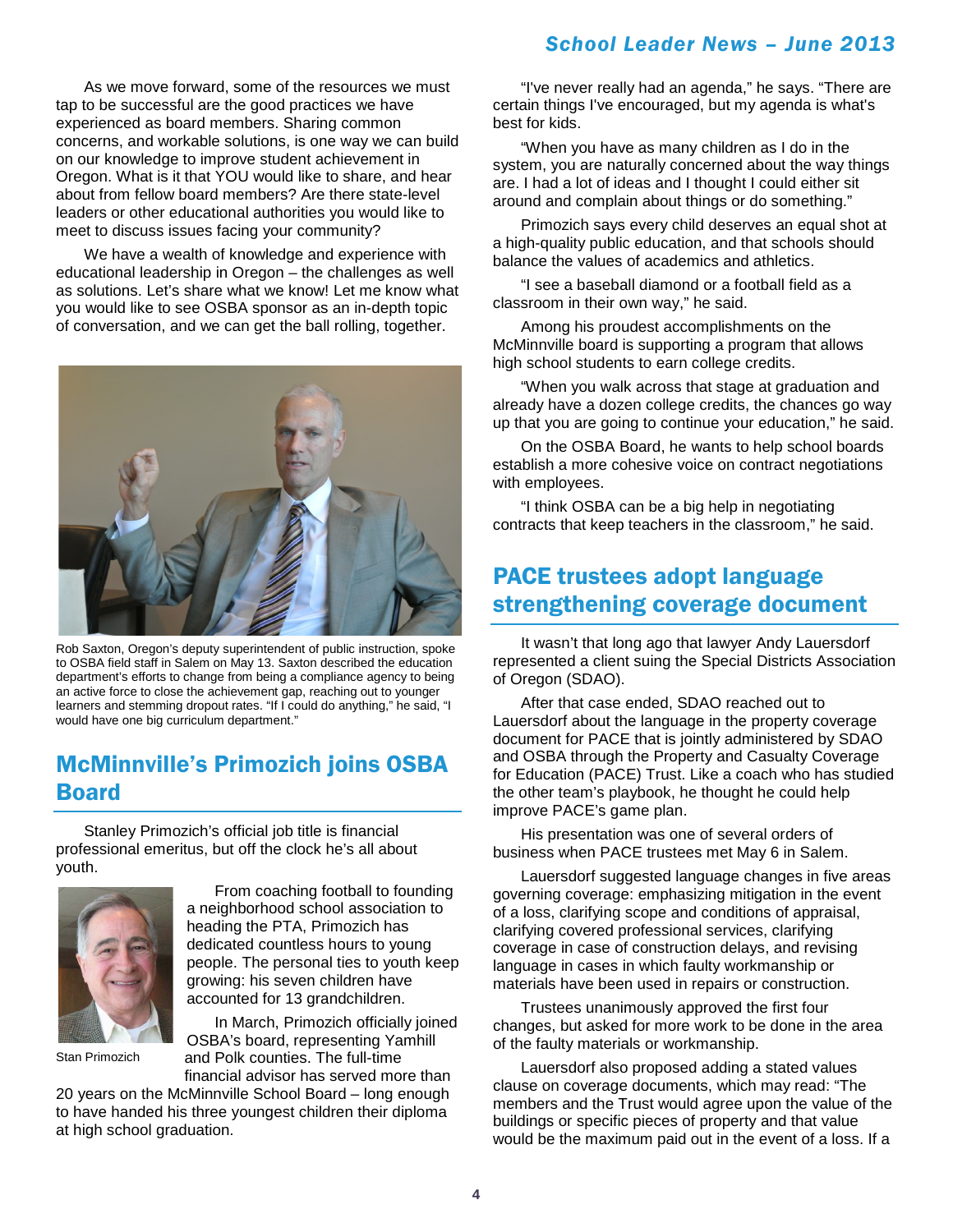### *School Leader News – June 2013*

As we move forward, some of the resources we must tap to be successful are the good practices we have experienced as board members. Sharing common concerns, and workable solutions, is one way we can build on our knowledge to improve student achievement in Oregon. What is it that YOU would like to share, and hear about from fellow board members? Are there state-level leaders or other educational authorities you would like to meet to discuss issues facing your community?

We have a wealth of knowledge and experience with educational leadership in Oregon – the challenges as well as solutions. Let's share what we know! Let me know what you would like to see OSBA sponsor as an in-depth topic of conversation, and we can get the ball rolling, together.



Rob Saxton, Oregon's deputy superintendent of public instruction, spoke to OSBA field staff in Salem on May 13. Saxton described the education department's efforts to change from being a compliance agency to being an active force to close the achievement gap, reaching out to younger learners and stemming dropout rates. "If I could do anything," he said, "I would have one big curriculum department."

### McMinnville's Primozich joins OSBA Board

Stanley Primozich's official job title is financial professional emeritus, but off the clock he's all about youth.



From coaching football to founding a neighborhood school association to heading the PTA, Primozich has dedicated countless hours to young people. The personal ties to youth keep growing: his seven children have accounted for 13 grandchildren.

Stan Primozich

In March, Primozich officially joined OSBA's board, representing Yamhill and Polk counties. The full-time financial advisor has served more than

20 years on the McMinnville School Board – long enough to have handed his three youngest children their diploma at high school graduation.

"I've never really had an agenda," he says. "There are certain things I've encouraged, but my agenda is what's best for kids.

"When you have as many children as I do in the system, you are naturally concerned about the way things are. I had a lot of ideas and I thought I could either sit around and complain about things or do something."

Primozich says every child deserves an equal shot at a high-quality public education, and that schools should balance the values of academics and athletics.

"I see a baseball diamond or a football field as a classroom in their own way," he said.

Among his proudest accomplishments on the McMinnville board is supporting a program that allows high school students to earn college credits.

"When you walk across that stage at graduation and already have a dozen college credits, the chances go way up that you are going to continue your education," he said.

On the OSBA Board, he wants to help school boards establish a more cohesive voice on contract negotiations with employees.

"I think OSBA can be a big help in negotiating contracts that keep teachers in the classroom," he said.

## PACE trustees adopt language strengthening coverage document

It wasn't that long ago that lawyer Andy Lauersdorf represented a client suing the Special Districts Association of Oregon (SDAO).

After that case ended, SDAO reached out to Lauersdorf about the language in the property coverage document for PACE that is jointly administered by SDAO and OSBA through the Property and Casualty Coverage for Education (PACE) Trust. Like a coach who has studied the other team's playbook, he thought he could help improve PACE's game plan.

His presentation was one of several orders of business when PACE trustees met May 6 in Salem.

Lauersdorf suggested language changes in five areas governing coverage: emphasizing mitigation in the event of a loss, clarifying scope and conditions of appraisal, clarifying covered professional services, clarifying coverage in case of construction delays, and revising language in cases in which faulty workmanship or materials have been used in repairs or construction.

Trustees unanimously approved the first four changes, but asked for more work to be done in the area of the faulty materials or workmanship.

Lauersdorf also proposed adding a stated values clause on coverage documents, which may read: "The members and the Trust would agree upon the value of the buildings or specific pieces of property and that value would be the maximum paid out in the event of a loss. If a